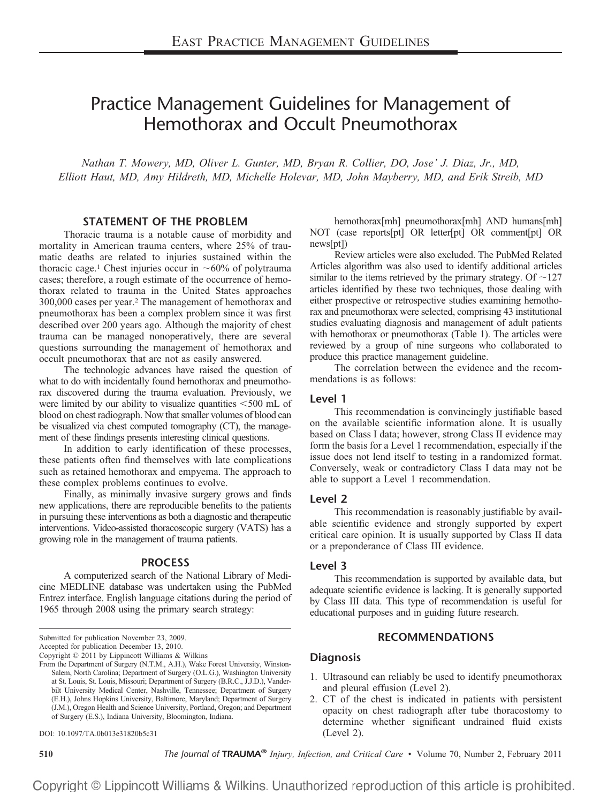# Practice Management Guidelines for Management of Hemothorax and Occult Pneumothorax

*Nathan T. Mowery, MD, Oliver L. Gunter, MD, Bryan R. Collier, DO, Jose' J. Diaz, Jr., MD, Elliott Haut, MD, Amy Hildreth, MD, Michelle Holevar, MD, John Mayberry, MD, and Erik Streib, MD*

## **STATEMENT OF THE PROBLEM**

Thoracic trauma is a notable cause of morbidity and mortality in American trauma centers, where 25% of traumatic deaths are related to injuries sustained within the thoracic cage.<sup>1</sup> Chest injuries occur in  $~60\%$  of polytrauma cases; therefore, a rough estimate of the occurrence of hemothorax related to trauma in the United States approaches 300,000 cases per year.2 The management of hemothorax and pneumothorax has been a complex problem since it was first described over 200 years ago. Although the majority of chest trauma can be managed nonoperatively, there are several questions surrounding the management of hemothorax and occult pneumothorax that are not as easily answered.

The technologic advances have raised the question of what to do with incidentally found hemothorax and pneumothorax discovered during the trauma evaluation. Previously, we were limited by our ability to visualize quantities  $\leq 500$  mL of blood on chest radiograph. Now that smaller volumes of blood can be visualized via chest computed tomography (CT), the management of these findings presents interesting clinical questions.

In addition to early identification of these processes, these patients often find themselves with late complications such as retained hemothorax and empyema. The approach to these complex problems continues to evolve.

Finally, as minimally invasive surgery grows and finds new applications, there are reproducible benefits to the patients in pursuing these interventions as both a diagnostic and therapeutic interventions. Video-assisted thoracoscopic surgery (VATS) has a growing role in the management of trauma patients.

## **PROCESS**

A computerized search of the National Library of Medicine MEDLINE database was undertaken using the PubMed Entrez interface. English language citations during the period of 1965 through 2008 using the primary search strategy:

Submitted for publication November 23, 2009.

Accepted for publication December 13, 2010.

DOI: 10.1097/TA.0b013e31820b5c31

hemothorax[mh] pneumothorax[mh] AND humans[mh] NOT (case reports[pt] OR letter[pt] OR comment[pt] OR news[pt])

Review articles were also excluded. The PubMed Related Articles algorithm was also used to identify additional articles similar to the items retrieved by the primary strategy. Of  $\sim$ 127 articles identified by these two techniques, those dealing with either prospective or retrospective studies examining hemothorax and pneumothorax were selected, comprising 43 institutional studies evaluating diagnosis and management of adult patients with hemothorax or pneumothorax (Table 1). The articles were reviewed by a group of nine surgeons who collaborated to produce this practice management guideline.

The correlation between the evidence and the recommendations is as follows:

## **Level 1**

This recommendation is convincingly justifiable based on the available scientific information alone. It is usually based on Class I data; however, strong Class II evidence may form the basis for a Level 1 recommendation, especially if the issue does not lend itself to testing in a randomized format. Conversely, weak or contradictory Class I data may not be able to support a Level 1 recommendation.

## **Level 2**

This recommendation is reasonably justifiable by available scientific evidence and strongly supported by expert critical care opinion. It is usually supported by Class II data or a preponderance of Class III evidence.

## **Level 3**

This recommendation is supported by available data, but adequate scientific evidence is lacking. It is generally supported by Class III data. This type of recommendation is useful for educational purposes and in guiding future research.

# **RECOMMENDATIONS**

# **Diagnosis**

- 1. Ultrasound can reliably be used to identify pneumothorax and pleural effusion (Level 2).
- 2. CT of the chest is indicated in patients with persistent opacity on chest radiograph after tube thoracostomy to determine whether significant undrained fluid exists (Level 2).

**510** *The Journal of TRAUMA® Injury, Infection, and Critical Care* • Volume 70, Number 2, February 2011

Copyright © 2011 by Lippincott Williams & Wilkins

From the Department of Surgery (N.T.M., A.H.), Wake Forest University, Winston-Salem, North Carolina; Department of Surgery (O.L.G.), Washington University at St. Louis, St. Louis, Missouri; Department of Surgery (B.R.C., J.J.D.), Vanderbilt University Medical Center, Nashville, Tennessee; Department of Surgery (E.H.), Johns Hopkins University, Baltimore, Maryland; Department of Surgery (J.M.), Oregon Health and Science University, Portland, Oregon; and Department of Surgery (E.S.), Indiana University, Bloomington, Indiana.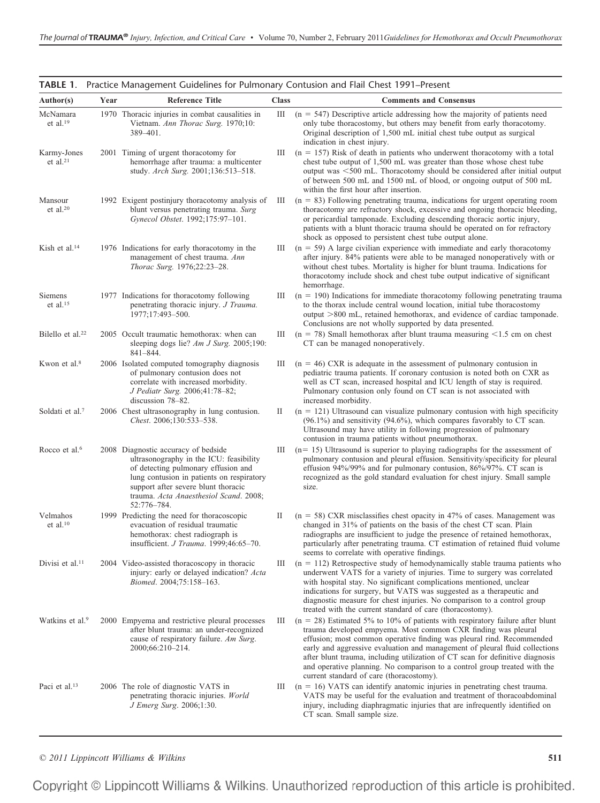| Author(s)                    | Year | <b>Reference Title</b>                                                                                                                                                                                                                                             | <b>Class</b> | <b>Comments and Consensus</b>                                                                                                                                                                                                                                                                                                                                                                                                                                                                                      |
|------------------------------|------|--------------------------------------------------------------------------------------------------------------------------------------------------------------------------------------------------------------------------------------------------------------------|--------------|--------------------------------------------------------------------------------------------------------------------------------------------------------------------------------------------------------------------------------------------------------------------------------------------------------------------------------------------------------------------------------------------------------------------------------------------------------------------------------------------------------------------|
| McNamara<br>et al. $19$      |      | 1970 Thoracic injuries in combat causalities in<br>Vietnam. Ann Thorac Surg. 1970;10:<br>389-401.                                                                                                                                                                  | Ш            | $(n = 547)$ Descriptive article addressing how the majority of patients need<br>only tube thoracostomy, but others may benefit from early thoracotomy.<br>Original description of 1,500 mL initial chest tube output as surgical<br>indication in chest injury.                                                                                                                                                                                                                                                    |
| Karmy-Jones<br>et al. $21$   |      | 2001 Timing of urgent thoracotomy for<br>hemorrhage after trauma: a multicenter<br>study. Arch Surg. 2001;136:513-518.                                                                                                                                             | Ш            | $(n = 157)$ Risk of death in patients who underwent thoracotomy with a total<br>chest tube output of 1,500 mL was greater than those whose chest tube<br>output was <500 mL. Thoracotomy should be considered after initial output<br>of between 500 mL and 1500 mL of blood, or ongoing output of 500 mL<br>within the first hour after insertion.                                                                                                                                                                |
| Mansour<br>et al. $20$       |      | 1992 Exigent postinjury thoracotomy analysis of<br>blunt versus penetrating trauma. Surg<br>Gynecol Obstet. 1992;175:97-101.                                                                                                                                       | Ш            | $(n = 83)$ Following penetrating trauma, indications for urgent operating room<br>thoracotomy are refractory shock, excessive and ongoing thoracic bleeding,<br>or pericardial tamponade. Excluding descending thoracic aortic injury,<br>patients with a blunt thoracic trauma should be operated on for refractory<br>shock as opposed to persistent chest tube output alone.                                                                                                                                    |
| Kish et al. <sup>14</sup>    |      | 1976 Indications for early thoracotomy in the<br>management of chest trauma. Ann<br>Thorac Surg. 1976;22:23-28.                                                                                                                                                    | Ш            | $(n = 59)$ A large civilian experience with immediate and early thoracotomy<br>after injury. 84% patients were able to be managed nonoperatively with or<br>without chest tubes. Mortality is higher for blunt trauma. Indications for<br>thoracotomy include shock and chest tube output indicative of significant<br>hemorrhage.                                                                                                                                                                                 |
| Siemens<br>et al. $15$       |      | 1977 Indications for thoracotomy following<br>penetrating thoracic injury. J Trauma.<br>1977;17:493-500.                                                                                                                                                           | Ш            | $(n = 190)$ Indications for immediate thoracotomy following penetrating trauma<br>to the thorax include central wound location, initial tube thoracostomy<br>output >800 mL, retained hemothorax, and evidence of cardiac tamponade.<br>Conclusions are not wholly supported by data presented.                                                                                                                                                                                                                    |
| Bilello et al. <sup>22</sup> |      | 2005 Occult traumatic hemothorax: when can<br>sleeping dogs lie? $Am J Surg. 2005;190$ :<br>$841 - 844.$                                                                                                                                                           | Ш            | $(n = 78)$ Small hemothorax after blunt trauma measuring $\leq 1.5$ cm on chest<br>CT can be managed nonoperatively.                                                                                                                                                                                                                                                                                                                                                                                               |
| Kwon et al. <sup>8</sup>     |      | 2006 Isolated computed tomography diagnosis<br>of pulmonary contusion does not<br>correlate with increased morbidity.<br>J Pediatr Surg. 2006;41:78-82;<br>discussion 78-82.                                                                                       | Ш            | $(n = 46)$ CXR is adequate in the assessment of pulmonary contusion in<br>pediatric trauma patients. If coronary contusion is noted both on CXR as<br>well as CT scan, increased hospital and ICU length of stay is required.<br>Pulmonary contusion only found on CT scan is not associated with<br>increased morbidity.                                                                                                                                                                                          |
| Soldati et al.7              |      | 2006 Chest ultrasonography in lung contusion.<br>Chest. 2006;130:533–538.                                                                                                                                                                                          | П            | $(n = 121)$ Ultrasound can visualize pulmonary contusion with high specificity<br>$(96.1\%)$ and sensitivity $(94.6\%)$ , which compares favorably to CT scan.<br>Ultrasound may have utility in following progression of pulmonary<br>contusion in trauma patients without pneumothorax.                                                                                                                                                                                                                          |
| Rocco et al. <sup>6</sup>    |      | 2008 Diagnostic accuracy of bedside<br>ultrasonography in the ICU: feasibility<br>of detecting pulmonary effusion and<br>lung contusion in patients on respiratory<br>support after severe blunt thoracic<br>trauma. Acta Anaesthesiol Scand. 2008;<br>52:776-784. | Ш            | $(n=15)$ Ultrasound is superior to playing radiographs for the assessment of<br>pulmonary contusion and pleural effusion. Sensitivity/specificity for pleural<br>effusion 94%/99% and for pulmonary contusion, 86%/97%. CT scan is<br>recognized as the gold standard evaluation for chest injury. Small sample<br>size.                                                                                                                                                                                           |
| Velmahos<br>$et$ al. $10$    |      | 1999 Predicting the need for thoracoscopic<br>evacuation of residual traumatic<br>hemothorax: chest radiograph is<br>insufficient. J Trauma. 1999;46:65-70.                                                                                                        | П            | $(n = 58)$ CXR misclassifies chest opacity in 47% of cases. Management was<br>changed in 31% of patients on the basis of the chest CT scan. Plain<br>radiographs are insufficient to judge the presence of retained hemothorax,<br>particularly after penetrating trauma. CT estimation of retained fluid volume<br>seems to correlate with operative findings.                                                                                                                                                    |
| Divisi et al. <sup>11</sup>  |      | 2004 Video-assisted thoracoscopy in thoracic<br>injury: early or delayed indication? Acta<br>Biomed. 2004;75:158-163.                                                                                                                                              | Ш            | $(n = 112)$ Retrospective study of hemodynamically stable trauma patients who<br>underwent VATS for a variety of injuries. Time to surgery was correlated<br>with hospital stay. No significant complications mentioned, unclear<br>indications for surgery, but VATS was suggested as a therapeutic and<br>diagnostic measure for chest injuries. No comparison to a control group<br>treated with the current standard of care (thoracostomy).                                                                   |
| Watkins et al. <sup>9</sup>  |      | 2000 Empyema and restrictive pleural processes<br>after blunt trauma: an under-recognized<br>cause of respiratory failure. Am Surg.<br>2000;66:210-214.                                                                                                            | Ш            | $(n = 28)$ Estimated 5% to 10% of patients with respiratory failure after blunt<br>trauma developed empyema. Most common CXR finding was pleural<br>effusion; most common operative finding was pleural rind. Recommended<br>early and aggressive evaluation and management of pleural fluid collections<br>after blunt trauma, including utilization of CT scan for definitive diagnosis<br>and operative planning. No comparison to a control group treated with the<br>current standard of care (thoracostomy). |
| Paci et al. <sup>13</sup>    |      | 2006 The role of diagnostic VATS in<br>penetrating thoracic injuries. World<br><i>J Emerg Surg.</i> 2006;1:30.                                                                                                                                                     | Ш            | $(n = 16)$ VATS can identify anatomic injuries in penetrating chest trauma.<br>VATS may be useful for the evaluation and treatment of thoracoabdominal<br>injury, including diaphragmatic injuries that are infrequently identified on<br>CT scan. Small sample size.                                                                                                                                                                                                                                              |

**TABLE 1**. Practice Management Guidelines for Pulmonary Contusion and Flail Chest 1991–Present

*© 2011 Lippincott Williams & Wilkins* **511**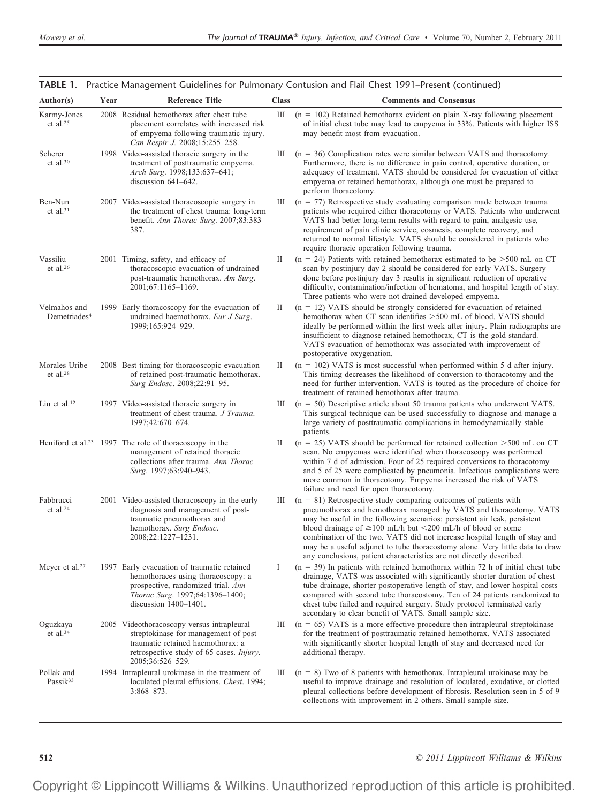| <b>Author(s)</b>                         | Year | <b>Reference Title</b>                                                                                                                                                                  | <b>Class</b> | TABLE 1. Practice Management Guidelines for Pulmonary Contusion and Flail Chest 1991–Present (continued)<br><b>Comments and Consensus</b>                                                                                                                                                                                                                                                                                                                                                                                     |
|------------------------------------------|------|-----------------------------------------------------------------------------------------------------------------------------------------------------------------------------------------|--------------|-------------------------------------------------------------------------------------------------------------------------------------------------------------------------------------------------------------------------------------------------------------------------------------------------------------------------------------------------------------------------------------------------------------------------------------------------------------------------------------------------------------------------------|
| Karmy-Jones<br>et al. $25$               |      | 2008 Residual hemothorax after chest tube<br>placement correlates with increased risk<br>of empyema following traumatic injury.<br>Can Respir J. 2008;15:255-258.                       | Ш            | $(n = 102)$ Retained hemothorax evident on plain X-ray following placement<br>of initial chest tube may lead to empyema in 33%. Patients with higher ISS<br>may benefit most from evacuation.                                                                                                                                                                                                                                                                                                                                 |
| Scherer<br>et al. $30$                   |      | 1998 Video-assisted thoracic surgery in the<br>treatment of posttraumatic empyema.<br>Arch Surg. 1998;133:637–641;<br>discussion $641-642$ .                                            | Ш            | $(n = 36)$ Complication rates were similar between VATS and thoracotomy.<br>Furthermore, there is no difference in pain control, operative duration, or<br>adequacy of treatment. VATS should be considered for evacuation of either<br>empyema or retained hemothorax, although one must be prepared to<br>perform thoracotomy.                                                                                                                                                                                              |
| Ben-Nun<br>$et$ al. <sup>31</sup>        |      | 2007 Video-assisted thoracoscopic surgery in<br>the treatment of chest trauma: long-term<br>benefit. Ann Thorac Surg. 2007;83:383-<br>387.                                              | Ш            | $(n = 77)$ Retrospective study evaluating comparison made between trauma<br>patients who required either thoracotomy or VATS. Patients who underwent<br>VATS had better long-term results with regard to pain, analgesic use,<br>requirement of pain clinic service, cosmesis, complete recovery, and<br>returned to normal lifestyle. VATS should be considered in patients who<br>require thoracic operation following trauma.                                                                                              |
| Vassiliu<br>et al. $26$                  |      | 2001 Timing, safety, and efficacy of<br>thoracoscopic evacuation of undrained<br>post-traumatic hemothorax. Am Surg.<br>2001;67:1165–1169.                                              | П            | $(n = 24)$ Patients with retained hemothorax estimated to be $> 500$ mL on CT<br>scan by postinjury day 2 should be considered for early VATS. Surgery<br>done before postinjury day 3 results in significant reduction of operative<br>difficulty, contamination/infection of hematoma, and hospital length of stay.<br>Three patients who were not drained developed empyema.                                                                                                                                               |
| Velmahos and<br>Demetriades <sup>4</sup> |      | 1999 Early thoracoscopy for the evacuation of<br>undrained haemothorax. Eur J Surg.<br>1999;165:924-929.                                                                                | П            | $(n = 12)$ VATS should be strongly considered for evacuation of retained<br>hemothorax when CT scan identifies >500 mL of blood. VATS should<br>ideally be performed within the first week after injury. Plain radiographs are<br>insufficient to diagnose retained hemothorax, CT is the gold standard.<br>VATS evacuation of hemothorax was associated with improvement of<br>postoperative oxygenation.                                                                                                                    |
| Morales Uribe<br>$et$ al. <sup>28</sup>  |      | 2008 Best timing for thoracoscopic evacuation<br>of retained post-traumatic hemothorax.<br>Surg Endosc. 2008;22:91-95.                                                                  | П            | $(n = 102)$ VATS is most successful when performed within 5 d after injury.<br>This timing decreases the likelihood of conversion to thoracotomy and the<br>need for further intervention. VATS is touted as the procedure of choice for<br>treatment of retained hemothorax after trauma.                                                                                                                                                                                                                                    |
| Liu et al. $12$                          |      | 1997 Video-assisted thoracic surgery in<br>treatment of chest trauma. J Trauma.<br>1997;42:670–674.                                                                                     | Ш            | $(n = 50)$ Descriptive article about 50 trauma patients who underwent VATS.<br>This surgical technique can be used successfully to diagnose and manage a<br>large variety of posttraumatic complications in hemodynamically stable<br>patients.                                                                                                                                                                                                                                                                               |
|                                          |      | Heniford et al. <sup>23</sup> 1997 The role of thoracoscopy in the<br>management of retained thoracic<br>collections after trauma. Ann Thorac<br>Surg. 1997;63:940-943.                 | П            | $(n = 25)$ VATS should be performed for retained collection $>500$ mL on CT<br>scan. No empyemas were identified when thoracoscopy was performed<br>within 7 d of admission. Four of 25 required conversions to thoracotomy<br>and 5 of 25 were complicated by pneumonia. Infectious complications were<br>more common in thoracotomy. Empyema increased the risk of VATS<br>failure and need for open thoracotomy.                                                                                                           |
| Fabbrucci<br>$et$ al. <sup>24</sup>      |      | 2001 Video-assisted thoracoscopy in the early<br>diagnosis and management of post-<br>traumatic pneumothorax and<br>hemothorax. Surg Endosc.<br>2008;22:1227-1231.                      | Ш            | $(n = 81)$ Retrospective study comparing outcomes of patients with<br>pneumothorax and hemothorax managed by VATS and thoracotomy. VATS<br>may be useful in the following scenarios: persistent air leak, persistent<br>blood drainage of $\geq$ 100 mL/h but <200 mL/h of blood or some<br>combination of the two. VATS did not increase hospital length of stay and<br>may be a useful adjunct to tube thoracostomy alone. Very little data to draw<br>any conclusions, patient characteristics are not directly described. |
| Meyer et al. <sup>27</sup>               |      | 1997 Early evacuation of traumatic retained<br>hemothoraces using thoracoscopy: a<br>prospective, randomized trial. Ann<br>Thorac Surg. 1997;64:1396-1400;<br>discussion $1400-1401$ .  | I            | $(n = 39)$ In patients with retained hemothorax within 72 h of initial chest tube<br>drainage, VATS was associated with significantly shorter duration of chest<br>tube drainage, shorter postoperative length of stay, and lower hospital costs<br>compared with second tube thoracostomy. Ten of 24 patients randomized to<br>chest tube failed and required surgery. Study protocol terminated early<br>secondary to clear benefit of VATS. Small sample size.                                                             |
| Oguzkaya<br>$et$ al. <sup>34</sup>       |      | 2005 Videothoracoscopy versus intrapleural<br>streptokinase for management of post<br>traumatic retained haemothorax: a<br>retrospective study of 65 cases. Injury.<br>2005;36:526-529. | Ш            | $(n = 65)$ VATS is a more effective procedure then intrapleural streptokinase<br>for the treatment of posttraumatic retained hemothorax. VATS associated<br>with significantly shorter hospital length of stay and decreased need for<br>additional therapy.                                                                                                                                                                                                                                                                  |
| Pollak and<br>Passik <sup>33</sup>       |      | 1994 Intrapleural urokinase in the treatment of<br>loculated pleural effusions. Chest. 1994;<br>$3:868 - 873.$                                                                          | Ш            | $(n = 8)$ Two of 8 patients with hemothorax. Intrapleural urokinase may be<br>useful to improve drainage and resolution of loculated, exudative, or clotted<br>pleural collections before development of fibrosis. Resolution seen in 5 of 9<br>collections with improvement in 2 others. Small sample size.                                                                                                                                                                                                                  |

|  |  |  |  |  | <b>TABLE 1.</b> Practice Management Guidelines for Pulmonary Contusion and Flail Chest 1991–Present (continued) |  |
|--|--|--|--|--|-----------------------------------------------------------------------------------------------------------------|--|
|--|--|--|--|--|-----------------------------------------------------------------------------------------------------------------|--|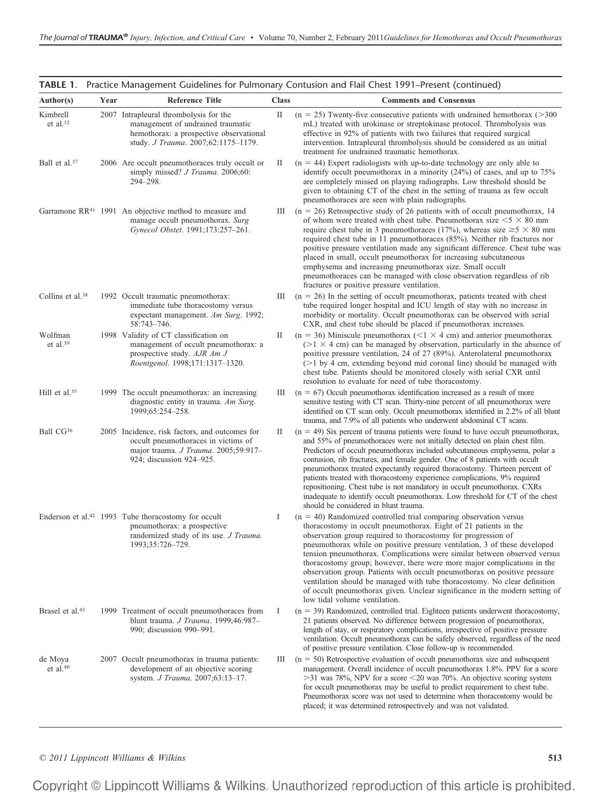| Author(s)                         | Year | <b>Reference Title</b>                                                                                                                                        | <b>Class</b> | <b>Comments and Consensus</b>                                                                                                                                                                                                                                                                                                                                                                                                                                                                                                                                                                                                                                                                                          |
|-----------------------------------|------|---------------------------------------------------------------------------------------------------------------------------------------------------------------|--------------|------------------------------------------------------------------------------------------------------------------------------------------------------------------------------------------------------------------------------------------------------------------------------------------------------------------------------------------------------------------------------------------------------------------------------------------------------------------------------------------------------------------------------------------------------------------------------------------------------------------------------------------------------------------------------------------------------------------------|
| Kimbrell<br>et al. $32$           |      | 2007 Intrapleural thrombolysis for the<br>management of undrained traumatic<br>hemothorax: a prospective observational<br>study. J Trauma. 2007;62:1175-1179. | П            | $(n = 25)$ Twenty-five consecutive patients with undrained hemothorax (>300)<br>mL) treated with urokinase or streptokinase protocol. Thrombolysis was<br>effective in 92% of patients with two failures that required surgical<br>intervention. Intrapleural thrombolysis should be considered as an initial<br>treatment for undrained traumatic hemothorax.                                                                                                                                                                                                                                                                                                                                                         |
| Ball et al. <sup>37</sup>         |      | 2006 Are occult pneumothoraces truly occult or<br>simply missed? J Trauma. 2006;60:<br>294-298.                                                               | П            | $(n = 44)$ Expert radiologists with up-to-date technology are only able to<br>identify occult pneumothorax in a minority $(24%)$ of cases, and up to 75%<br>are completely missed on playing radiographs. Low threshold should be<br>given to obtaining CT of the chest in the setting of trauma as few occult<br>pneumothoraces are seen with plain radiographs.                                                                                                                                                                                                                                                                                                                                                      |
|                                   |      | Garramone RR <sup>41</sup> 1991 An objective method to measure and<br>manage occult pneumothorax. Surg<br>Gynecol Obstet. 1991;173:257-261.                   |              | III $(n = 26)$ Retrospective study of 26 patients with of occult pneumothorax, 14<br>of whom were treated with chest tube. Pneumothorax size $\leq$ 5 $\times$ 80 mm<br>require chest tube in 3 pneumothoraces (17%), whereas size $\geq 5 \times 80$ mm<br>required chest tube in 11 pneumothoraces (85%). Neither rib fractures nor<br>positive pressure ventilation made any significant difference. Chest tube was<br>placed in small, occult pneumothorax for increasing subcutaneous<br>emphysema and increasing pneumothorax size. Small occult<br>pneumothoraces can be managed with close observation regardless of rib<br>fractures or positive pressure ventilation.                                        |
| Collins et al. <sup>38</sup>      |      | 1992 Occult traumatic pneumothorax:<br>immediate tube thoracostomy versus<br>expectant management. Am Surg. 1992;<br>58:743-746.                              | Ш            | $(n = 26)$ In the setting of occult pneumothorax, patients treated with chest<br>tube required longer hospital and ICU length of stay with no increase in<br>morbidity or mortality. Occult pneumothorax can be observed with serial<br>CXR, and chest tube should be placed if pneumothorax increases.                                                                                                                                                                                                                                                                                                                                                                                                                |
| Wolfman<br>et al. $39$            |      | 1998 Validity of CT classification on<br>management of occult pneumothorax: a<br>prospective study. AJR Am J<br>Roentgenol. 1998;171:1317-1320.               | П            | $(n = 36)$ Miniscule pneumothorax (<1 × 4 cm) and anterior pneumothorax<br>$(>1 \times 4$ cm) can be managed by observation, particularly in the absence of<br>positive pressure ventilation, 24 of 27 (89%). Anterolateral pneumothorax<br>$($ >1 by 4 cm, extending beyond mid coronal line) should be managed with<br>chest tube. Patients should be monitored closely with serial CXR until<br>resolution to evaluate for need of tube thoracostomy.                                                                                                                                                                                                                                                               |
| Hill et al. <sup>35</sup>         |      | 1999 The occult pneumothorax: an increasing<br>diagnostic entity in trauma. Am Surg.<br>1999;65:254-258.                                                      |              | III $(n = 67)$ Occult pneumothorax identification increased as a result of more<br>sensitive testing with CT scan. Thirty-nine percent of all pneumothorax were<br>identified on CT scan only. Occult pneumothorax identified in 2.2% of all blunt<br>trauma, and 7.9% of all patients who underwent abdominal CT scans.                                                                                                                                                                                                                                                                                                                                                                                               |
| Ball CG <sup>36</sup>             |      | 2005 Incidence, risk factors, and outcomes for<br>occult pneumothoraces in victims of<br>major trauma. J Trauma. 2005;59:917-<br>924; discussion 924–925.     | П            | $(n = 49)$ Six percent of trauma patients were found to have occult pneumothorax,<br>and 55% of pneumothoraces were not initially detected on plain chest film.<br>Predictors of occult pneumothorax included subcutaneous emphysema, polar a<br>contusion, rib fractures, and female gender. One of 8 patients with occult<br>pneumothorax treated expectantly required thoracostomy. Thirteen percent of<br>patients treated with thoracostomy experience complications, 9% required<br>repositioning. Chest tube is not mandatory in occult pneumothorax. CXRs<br>inadequate to identify occult pneumothorax. Low threshold for CT of the chest<br>should be considered in blunt trauma.                            |
|                                   |      | Enderson et al. <sup>42</sup> 1993 Tube thoracostomy for occult<br>pneumothorax: a prospective<br>randomized study of its use. J Trauma.<br>1993;35:726-729.  | Ι            | $(n = 40)$ Randomized controlled trial comparing observation versus<br>thoracostomy in occult pneumothorax. Eight of 21 patients in the<br>observation group required to thoracostomy for progression of<br>pneumothorax while on positive pressure ventilation, 3 of these developed<br>tension pneumothorax. Complications were similar between observed versus<br>thoracostomy group; however, there were more major complications in the<br>observation group. Patients with occult pneumothorax on positive pressure<br>ventilation should be managed with tube thoracostomy. No clear definition<br>of occult pneumothorax given. Unclear significance in the modern setting of<br>low tidal volume ventilation. |
| Brasel et al. <sup>43</sup>       |      | 1999 Treatment of occult pneumothoraces from<br>blunt trauma. J Trauma. 1999;46:987-<br>990; discussion 990–991.                                              | Ι            | $(n = 39)$ Randomized, controlled trial. Eighteen patients underwent thoracostomy,<br>21 patients observed. No difference between progression of pneumothorax,<br>length of stay, or respiratory complications, irrespective of positive pressure<br>ventilation. Occult pneumothorax can be safely observed, regardless of the need<br>of positive pressure ventilation. Close follow-up is recommended.                                                                                                                                                                                                                                                                                                              |
| de Moya<br>$et$ al. <sup>40</sup> |      | 2007 Occult pneumothorax in trauma patients:<br>development of an objective scoring<br>system. <i>J Trauma</i> . 2007;63:13-17.                               | Ш            | $(n = 50)$ Retrospective evaluation of occult pneumothorax size and subsequent<br>management. Overall incidence of occult pneumothorax 1.8%. PPV for a score<br>$>$ 31 was 78%, NPV for a score $\leq$ 20 was 70%. An objective scoring system<br>for occult pneumothorax may be useful to predict requirement to chest tube.<br>Pneumothorax score was not used to determine when thoracostomy would be<br>placed; it was determined retrospectively and was not validated.                                                                                                                                                                                                                                           |

|  |  | TABLE 1. Practice Management Guidelines for Pulmonary Contusion and Flail Chest 1991–Present (continued) |
|--|--|----------------------------------------------------------------------------------------------------------|
|  |  |                                                                                                          |

*© 2011 Lippincott Williams & Wilkins* **513**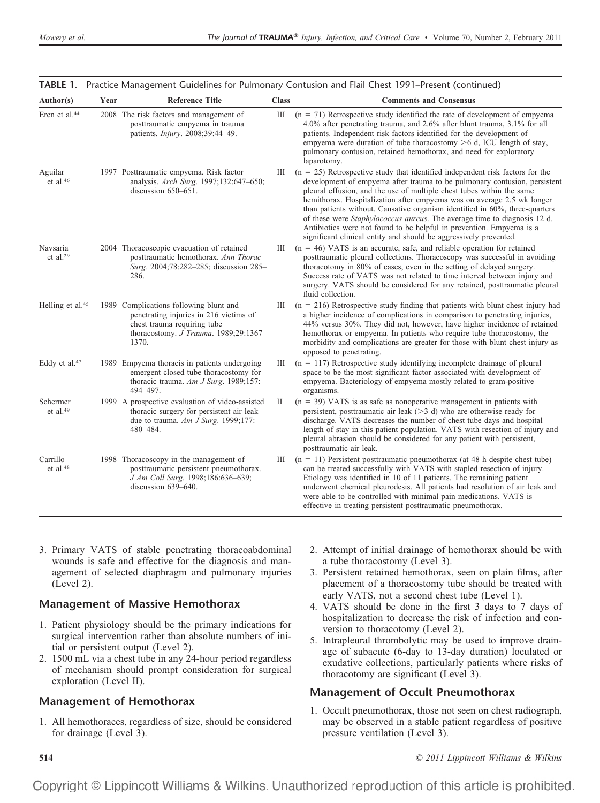| Author(s)                        | Year | <b>Reference Title</b>                                                                                                                                            | <b>Class</b> | <b>Comments and Consensus</b>                                                                                                                                                                                                                                                                                                                                                                                                                                                                                                                                                                                                   |
|----------------------------------|------|-------------------------------------------------------------------------------------------------------------------------------------------------------------------|--------------|---------------------------------------------------------------------------------------------------------------------------------------------------------------------------------------------------------------------------------------------------------------------------------------------------------------------------------------------------------------------------------------------------------------------------------------------------------------------------------------------------------------------------------------------------------------------------------------------------------------------------------|
| Eren et al. <sup>44</sup>        |      | 2008 The risk factors and management of<br>posttraumatic empyema in trauma<br>patients. <i>Injury</i> . 2008;39:44-49.                                            | Ш            | $(n = 71)$ Retrospective study identified the rate of development of empyema<br>4.0% after penetrating trauma, and 2.6% after blunt trauma, 3.1% for all<br>patients. Independent risk factors identified for the development of<br>empyema were duration of tube thoracostomy $>6$ d, ICU length of stay,<br>pulmonary contusion, retained hemothorax, and need for exploratory<br>laparotomy.                                                                                                                                                                                                                                 |
| Aguilar<br>et al. $46$           |      | 1997 Posttraumatic empyema. Risk factor<br>analysis. Arch Surg. 1997;132:647-650;<br>discussion 650-651.                                                          | Ш            | $(n = 25)$ Retrospective study that identified independent risk factors for the<br>development of empyema after trauma to be pulmonary contusion, persistent<br>pleural effusion, and the use of multiple chest tubes within the same<br>hemithorax. Hospitalization after empyema was on average 2.5 wk longer<br>than patients without. Causative organism identified in 60%, three-quarters<br>of these were <i>Staphylococcus aureus</i> . The average time to diagnosis 12 d.<br>Antibiotics were not found to be helpful in prevention. Empyema is a<br>significant clinical entity and should be aggressively prevented. |
| Navsaria<br>et al. $29$          |      | 2004 Thoracoscopic evacuation of retained<br>posttraumatic hemothorax. Ann Thorac<br>Surg. 2004;78:282-285; discussion 285-<br>286.                               | Ш            | $(n = 46)$ VATS is an accurate, safe, and reliable operation for retained<br>posttraumatic pleural collections. Thoracoscopy was successful in avoiding<br>thoracotomy in 80% of cases, even in the setting of delayed surgery.<br>Success rate of VATS was not related to time interval between injury and<br>surgery. VATS should be considered for any retained, posttraumatic pleural<br>fluid collection.                                                                                                                                                                                                                  |
| Helling et al. <sup>45</sup>     |      | 1989 Complications following blunt and<br>penetrating injuries in 216 victims of<br>chest trauma requiring tube<br>thoracostomy. J Trauma. 1989;29:1367-<br>1370. | Ш            | $(n = 216)$ Retrospective study finding that patients with blunt chest injury had<br>a higher incidence of complications in comparison to penetrating injuries,<br>44% versus 30%. They did not, however, have higher incidence of retained<br>hemothorax or empyema. In patients who require tube thoracostomy, the<br>morbidity and complications are greater for those with blunt chest injury as<br>opposed to penetrating.                                                                                                                                                                                                 |
| Eddy et al. <sup>47</sup>        |      | 1989 Empyema thoracis in patients undergoing<br>emergent closed tube thoracostomy for<br>thoracic trauma. Am J Surg. 1989;157:<br>494-497.                        | Ш            | $(n = 117)$ Retrospective study identifying incomplete drainage of pleural<br>space to be the most significant factor associated with development of<br>empyema. Bacteriology of empyema mostly related to gram-positive<br>organisms.                                                                                                                                                                                                                                                                                                                                                                                          |
| Schermer<br>et al. <sup>49</sup> |      | 1999 A prospective evaluation of video-assisted<br>thoracic surgery for persistent air leak<br>due to trauma. Am J Surg. 1999;177:<br>480-484.                    | П            | $(n = 39)$ VATS is as safe as nonoperative management in patients with<br>persistent, posttraumatic air leak $($ >3 d) who are otherwise ready for<br>discharge. VATS decreases the number of chest tube days and hospital<br>length of stay in this patient population. VATS with resection of injury and<br>pleural abrasion should be considered for any patient with persistent,<br>posttraumatic air leak.                                                                                                                                                                                                                 |
| Carrillo<br>et al. <sup>48</sup> |      | 1998 Thoracoscopy in the management of<br>posttraumatic persistent pneumothorax.<br>J Am Coll Surg. 1998;186:636-639;<br>discussion 639–640.                      | Ш            | $(n = 11)$ Persistent posttraumatic pneumothorax (at 48 h despite chest tube)<br>can be treated successfully with VATS with stapled resection of injury.<br>Etiology was identified in 10 of 11 patients. The remaining patient<br>underwent chemical pleurodesis. All patients had resolution of air leak and<br>were able to be controlled with minimal pain medications. VATS is<br>effective in treating persistent posttraumatic pneumothorax.                                                                                                                                                                             |

|  |  |  |  | TABLE 1. Practice Management Guidelines for Pulmonary Contusion and Flail Chest 1991–Present (continued) |
|--|--|--|--|----------------------------------------------------------------------------------------------------------|
|--|--|--|--|----------------------------------------------------------------------------------------------------------|

3. Primary VATS of stable penetrating thoracoabdominal wounds is safe and effective for the diagnosis and management of selected diaphragm and pulmonary injuries (Level 2).

# **Management of Massive Hemothorax**

- 1. Patient physiology should be the primary indications for surgical intervention rather than absolute numbers of initial or persistent output (Level 2).
- 2. 1500 mL via a chest tube in any 24-hour period regardless of mechanism should prompt consideration for surgical exploration (Level II).

# **Management of Hemothorax**

1. All hemothoraces, regardless of size, should be considered for drainage (Level 3).

- 2. Attempt of initial drainage of hemothorax should be with a tube thoracostomy (Level 3).
- 3. Persistent retained hemothorax, seen on plain films, after placement of a thoracostomy tube should be treated with early VATS, not a second chest tube (Level 1).
- 4. VATS should be done in the first 3 days to 7 days of hospitalization to decrease the risk of infection and conversion to thoracotomy (Level 2).
- 5. Intrapleural thrombolytic may be used to improve drainage of subacute (6-day to 13-day duration) loculated or exudative collections, particularly patients where risks of thoracotomy are significant (Level 3).

# **Management of Occult Pneumothorax**

1. Occult pneumothorax, those not seen on chest radiograph, may be observed in a stable patient regardless of positive pressure ventilation (Level 3).

**514** *© 2011 Lippincott Williams & Wilkins*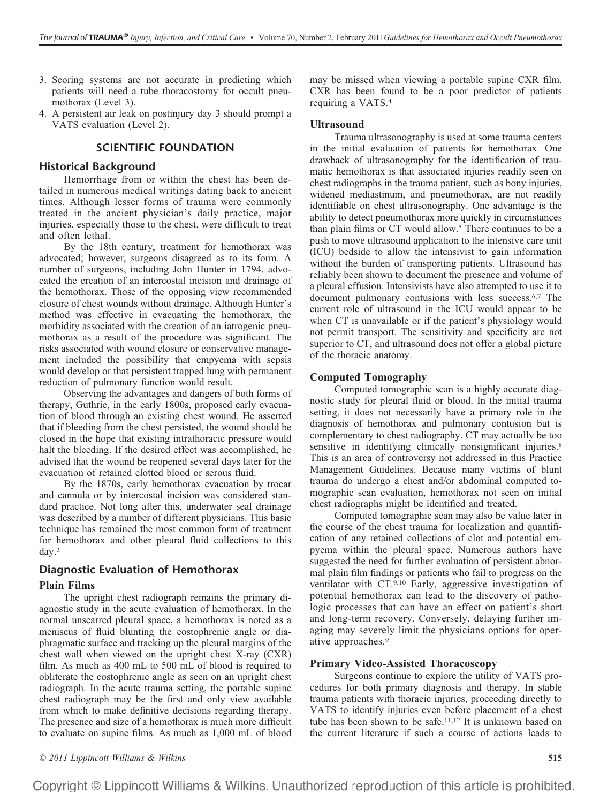- 3. Scoring systems are not accurate in predicting which patients will need a tube thoracostomy for occult pneumothorax (Level 3).
- 4. A persistent air leak on postinjury day 3 should prompt a VATS evaluation (Level 2).

# **SCIENTIFIC FOUNDATION**

#### **Historical Background**

Hemorrhage from or within the chest has been detailed in numerous medical writings dating back to ancient times. Although lesser forms of trauma were commonly treated in the ancient physician's daily practice, major injuries, especially those to the chest, were difficult to treat and often lethal.

By the 18th century, treatment for hemothorax was advocated; however, surgeons disagreed as to its form. A number of surgeons, including John Hunter in 1794, advocated the creation of an intercostal incision and drainage of the hemothorax. Those of the opposing view recommended closure of chest wounds without drainage. Although Hunter's method was effective in evacuating the hemothorax, the morbidity associated with the creation of an iatrogenic pneumothorax as a result of the procedure was significant. The risks associated with wound closure or conservative management included the possibility that empyema with sepsis would develop or that persistent trapped lung with permanent reduction of pulmonary function would result.

Observing the advantages and dangers of both forms of therapy, Guthrie, in the early 1800s, proposed early evacuation of blood through an existing chest wound. He asserted that if bleeding from the chest persisted, the wound should be closed in the hope that existing intrathoracic pressure would halt the bleeding. If the desired effect was accomplished, he advised that the wound be reopened several days later for the evacuation of retained clotted blood or serous fluid.

By the 1870s, early hemothorax evacuation by trocar and cannula or by intercostal incision was considered standard practice. Not long after this, underwater seal drainage was described by a number of different physicians. This basic technique has remained the most common form of treatment for hemothorax and other pleural fluid collections to this day.3

#### **Diagnostic Evaluation of Hemothorax**

#### **Plain Films**

The upright chest radiograph remains the primary diagnostic study in the acute evaluation of hemothorax. In the normal unscarred pleural space, a hemothorax is noted as a meniscus of fluid blunting the costophrenic angle or diaphragmatic surface and tracking up the pleural margins of the chest wall when viewed on the upright chest X-ray (CXR) film. As much as 400 mL to 500 mL of blood is required to obliterate the costophrenic angle as seen on an upright chest radiograph. In the acute trauma setting, the portable supine chest radiograph may be the first and only view available from which to make definitive decisions regarding therapy. The presence and size of a hemothorax is much more difficult to evaluate on supine films. As much as 1,000 mL of blood

may be missed when viewing a portable supine CXR film. CXR has been found to be a poor predictor of patients requiring a VATS.4

#### **Ultrasound**

Trauma ultrasonography is used at some trauma centers in the initial evaluation of patients for hemothorax. One drawback of ultrasonography for the identification of traumatic hemothorax is that associated injuries readily seen on chest radiographs in the trauma patient, such as bony injuries, widened mediastinum, and pneumothorax, are not readily identifiable on chest ultrasonography. One advantage is the ability to detect pneumothorax more quickly in circumstances than plain films or CT would allow.<sup>5</sup> There continues to be a push to move ultrasound application to the intensive care unit (ICU) bedside to allow the intensivist to gain information without the burden of transporting patients. Ultrasound has reliably been shown to document the presence and volume of a pleural effusion. Intensivists have also attempted to use it to document pulmonary contusions with less success.6,7 The current role of ultrasound in the ICU would appear to be when CT is unavailable or if the patient's physiology would not permit transport. The sensitivity and specificity are not superior to CT, and ultrasound does not offer a global picture of the thoracic anatomy.

#### **Computed Tomography**

Computed tomographic scan is a highly accurate diagnostic study for pleural fluid or blood. In the initial trauma setting, it does not necessarily have a primary role in the diagnosis of hemothorax and pulmonary contusion but is complementary to chest radiography. CT may actually be too sensitive in identifying clinically nonsignificant injuries.<sup>8</sup> This is an area of controversy not addressed in this Practice Management Guidelines. Because many victims of blunt trauma do undergo a chest and/or abdominal computed tomographic scan evaluation, hemothorax not seen on initial chest radiographs might be identified and treated.

Computed tomographic scan may also be value later in the course of the chest trauma for localization and quantification of any retained collections of clot and potential empyema within the pleural space. Numerous authors have suggested the need for further evaluation of persistent abnormal plain film findings or patients who fail to progress on the ventilator with CT.9,10 Early, aggressive investigation of potential hemothorax can lead to the discovery of pathologic processes that can have an effect on patient's short and long-term recovery. Conversely, delaying further imaging may severely limit the physicians options for operative approaches.9

#### **Primary Video-Assisted Thoracoscopy**

Surgeons continue to explore the utility of VATS procedures for both primary diagnosis and therapy. In stable trauma patients with thoracic injuries, proceeding directly to VATS to identify injuries even before placement of a chest tube has been shown to be safe.11,12 It is unknown based on the current literature if such a course of actions leads to

*© 2011 Lippincott Williams & Wilkins* **515**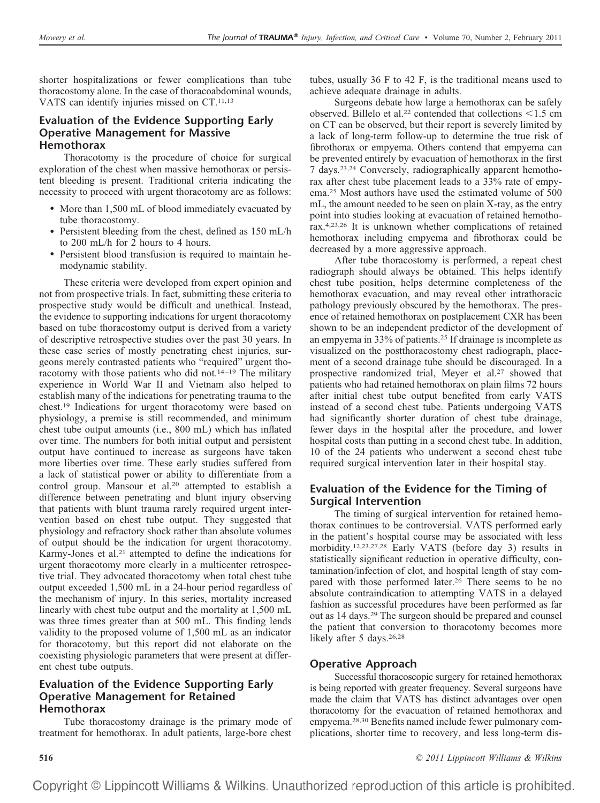shorter hospitalizations or fewer complications than tube thoracostomy alone. In the case of thoracoabdominal wounds, VATS can identify injuries missed on CT.11,13

# **Evaluation of the Evidence Supporting Early Operative Management for Massive Hemothorax**

Thoracotomy is the procedure of choice for surgical exploration of the chest when massive hemothorax or persistent bleeding is present. Traditional criteria indicating the necessity to proceed with urgent thoracotomy are as follows:

- More than 1,500 mL of blood immediately evacuated by tube thoracostomy.
- Persistent bleeding from the chest, defined as 150 mL/h to 200 mL/h for 2 hours to 4 hours.
- Persistent blood transfusion is required to maintain hemodynamic stability.

These criteria were developed from expert opinion and not from prospective trials. In fact, submitting these criteria to prospective study would be difficult and unethical. Instead, the evidence to supporting indications for urgent thoracotomy based on tube thoracostomy output is derived from a variety of descriptive retrospective studies over the past 30 years. In these case series of mostly penetrating chest injuries, surgeons merely contrasted patients who "required" urgent thoracotomy with those patients who did not. $14-19$  The military experience in World War II and Vietnam also helped to establish many of the indications for penetrating trauma to the chest.19 Indications for urgent thoracotomy were based on physiology, a premise is still recommended, and minimum chest tube output amounts (i.e., 800 mL) which has inflated over time. The numbers for both initial output and persistent output have continued to increase as surgeons have taken more liberties over time. These early studies suffered from a lack of statistical power or ability to differentiate from a control group. Mansour et al.20 attempted to establish a difference between penetrating and blunt injury observing that patients with blunt trauma rarely required urgent intervention based on chest tube output. They suggested that physiology and refractory shock rather than absolute volumes of output should be the indication for urgent thoracotomy. Karmy-Jones et al.21 attempted to define the indications for urgent thoracotomy more clearly in a multicenter retrospective trial. They advocated thoracotomy when total chest tube output exceeded 1,500 mL in a 24-hour period regardless of the mechanism of injury. In this series, mortality increased linearly with chest tube output and the mortality at 1,500 mL was three times greater than at 500 mL. This finding lends validity to the proposed volume of 1,500 mL as an indicator for thoracotomy, but this report did not elaborate on the coexisting physiologic parameters that were present at different chest tube outputs.

# **Evaluation of the Evidence Supporting Early Operative Management for Retained Hemothorax**

Tube thoracostomy drainage is the primary mode of treatment for hemothorax. In adult patients, large-bore chest

tubes, usually 36 F to 42 F, is the traditional means used to achieve adequate drainage in adults.

Surgeons debate how large a hemothorax can be safely observed. Billelo et al.<sup>22</sup> contended that collections  $\leq 1.5$  cm on CT can be observed, but their report is severely limited by a lack of long-term follow-up to determine the true risk of fibrothorax or empyema. Others contend that empyema can be prevented entirely by evacuation of hemothorax in the first 7 days.23,24 Conversely, radiographically apparent hemothorax after chest tube placement leads to a 33% rate of empyema.25 Most authors have used the estimated volume of 500 mL, the amount needed to be seen on plain X-ray, as the entry point into studies looking at evacuation of retained hemothorax.4,23,26 It is unknown whether complications of retained hemothorax including empyema and fibrothorax could be decreased by a more aggressive approach.

After tube thoracostomy is performed, a repeat chest radiograph should always be obtained. This helps identify chest tube position, helps determine completeness of the hemothorax evacuation, and may reveal other intrathoracic pathology previously obscured by the hemothorax. The presence of retained hemothorax on postplacement CXR has been shown to be an independent predictor of the development of an empyema in 33% of patients.25 If drainage is incomplete as visualized on the postthoracostomy chest radiograph, placement of a second drainage tube should be discouraged. In a prospective randomized trial, Meyer et al.<sup>27</sup> showed that patients who had retained hemothorax on plain films 72 hours after initial chest tube output benefited from early VATS instead of a second chest tube. Patients undergoing VATS had significantly shorter duration of chest tube drainage, fewer days in the hospital after the procedure, and lower hospital costs than putting in a second chest tube. In addition, 10 of the 24 patients who underwent a second chest tube required surgical intervention later in their hospital stay.

# **Evaluation of the Evidence for the Timing of Surgical Intervention**

The timing of surgical intervention for retained hemothorax continues to be controversial. VATS performed early in the patient's hospital course may be associated with less morbidity.12,23,27,28 Early VATS (before day 3) results in statistically significant reduction in operative difficulty, contamination/infection of clot, and hospital length of stay compared with those performed later.26 There seems to be no absolute contraindication to attempting VATS in a delayed fashion as successful procedures have been performed as far out as 14 days.29 The surgeon should be prepared and counsel the patient that conversion to thoracotomy becomes more likely after 5 days.<sup>26,28</sup>

# **Operative Approach**

Successful thoracoscopic surgery for retained hemothorax is being reported with greater frequency. Several surgeons have made the claim that VATS has distinct advantages over open thoracotomy for the evacuation of retained hemothorax and empyema.28,30 Benefits named include fewer pulmonary complications, shorter time to recovery, and less long-term dis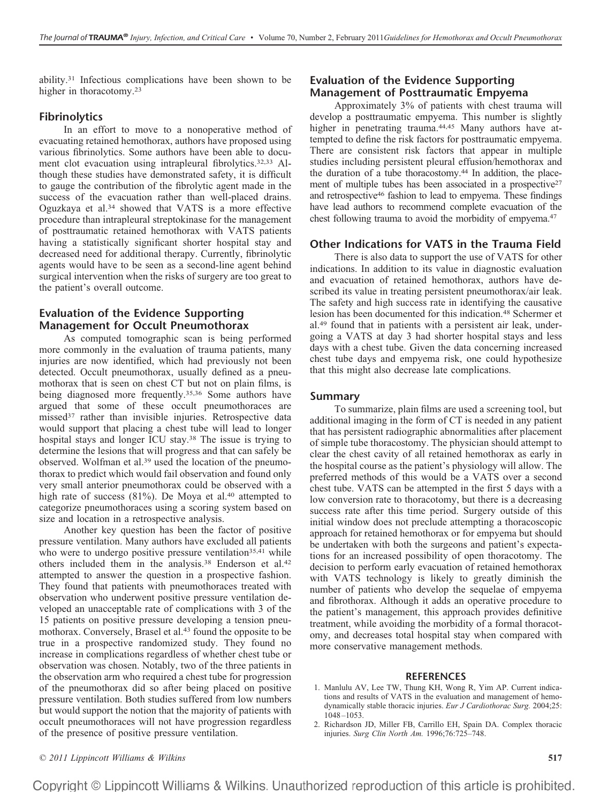ability.31 Infectious complications have been shown to be higher in thoracotomy.<sup>23</sup>

## **Fibrinolytics**

In an effort to move to a nonoperative method of evacuating retained hemothorax, authors have proposed using various fibrinolytics. Some authors have been able to document clot evacuation using intrapleural fibrolytics.32,33 Although these studies have demonstrated safety, it is difficult to gauge the contribution of the fibrolytic agent made in the success of the evacuation rather than well-placed drains. Oguzkaya et al.34 showed that VATS is a more effective procedure than intrapleural streptokinase for the management of posttraumatic retained hemothorax with VATS patients having a statistically significant shorter hospital stay and decreased need for additional therapy. Currently, fibrinolytic agents would have to be seen as a second-line agent behind surgical intervention when the risks of surgery are too great to the patient's overall outcome.

# **Evaluation of the Evidence Supporting Management for Occult Pneumothorax**

As computed tomographic scan is being performed more commonly in the evaluation of trauma patients, many injuries are now identified, which had previously not been detected. Occult pneumothorax, usually defined as a pneumothorax that is seen on chest CT but not on plain films, is being diagnosed more frequently.35,36 Some authors have argued that some of these occult pneumothoraces are missed<sup>37</sup> rather than invisible injuries. Retrospective data would support that placing a chest tube will lead to longer hospital stays and longer ICU stay.38 The issue is trying to determine the lesions that will progress and that can safely be observed. Wolfman et al.39 used the location of the pneumothorax to predict which would fail observation and found only very small anterior pneumothorax could be observed with a high rate of success (81%). De Moya et al.40 attempted to categorize pneumothoraces using a scoring system based on size and location in a retrospective analysis.

Another key question has been the factor of positive pressure ventilation. Many authors have excluded all patients who were to undergo positive pressure ventilation<sup>35,41</sup> while others included them in the analysis.38 Enderson et al.42 attempted to answer the question in a prospective fashion. They found that patients with pneumothoraces treated with observation who underwent positive pressure ventilation developed an unacceptable rate of complications with 3 of the 15 patients on positive pressure developing a tension pneumothorax. Conversely, Brasel et al.<sup>43</sup> found the opposite to be true in a prospective randomized study. They found no increase in complications regardless of whether chest tube or observation was chosen. Notably, two of the three patients in the observation arm who required a chest tube for progression of the pneumothorax did so after being placed on positive pressure ventilation. Both studies suffered from low numbers but would support the notion that the majority of patients with occult pneumothoraces will not have progression regardless of the presence of positive pressure ventilation.

# **Evaluation of the Evidence Supporting Management of Posttraumatic Empyema**

Approximately 3% of patients with chest trauma will develop a posttraumatic empyema. This number is slightly higher in penetrating trauma.<sup>44,45</sup> Many authors have attempted to define the risk factors for posttraumatic empyema. There are consistent risk factors that appear in multiple studies including persistent pleural effusion/hemothorax and the duration of a tube thoracostomy.<sup>44</sup> In addition, the placement of multiple tubes has been associated in a prospective<sup>27</sup> and retrospective46 fashion to lead to empyema. These findings have lead authors to recommend complete evacuation of the chest following trauma to avoid the morbidity of empyema.47

# **Other Indications for VATS in the Trauma Field**

There is also data to support the use of VATS for other indications. In addition to its value in diagnostic evaluation and evacuation of retained hemothorax, authors have described its value in treating persistent pneumothorax/air leak. The safety and high success rate in identifying the causative lesion has been documented for this indication.48 Schermer et al.49 found that in patients with a persistent air leak, undergoing a VATS at day 3 had shorter hospital stays and less days with a chest tube. Given the data concerning increased chest tube days and empyema risk, one could hypothesize that this might also decrease late complications.

## **Summary**

To summarize, plain films are used a screening tool, but additional imaging in the form of CT is needed in any patient that has persistent radiographic abnormalities after placement of simple tube thoracostomy. The physician should attempt to clear the chest cavity of all retained hemothorax as early in the hospital course as the patient's physiology will allow. The preferred methods of this would be a VATS over a second chest tube. VATS can be attempted in the first 5 days with a low conversion rate to thoracotomy, but there is a decreasing success rate after this time period. Surgery outside of this initial window does not preclude attempting a thoracoscopic approach for retained hemothorax or for empyema but should be undertaken with both the surgeons and patient's expectations for an increased possibility of open thoracotomy. The decision to perform early evacuation of retained hemothorax with VATS technology is likely to greatly diminish the number of patients who develop the sequelae of empyema and fibrothorax. Although it adds an operative procedure to the patient's management, this approach provides definitive treatment, while avoiding the morbidity of a formal thoracotomy, and decreases total hospital stay when compared with more conservative management methods.

#### **REFERENCES**

- 1. Manlulu AV, Lee TW, Thung KH, Wong R, Yim AP. Current indications and results of VATS in the evaluation and management of hemodynamically stable thoracic injuries. *Eur J Cardiothorac Surg.* 2004;25: 1048 –1053.
- 2. Richardson JD, Miller FB, Carrillo EH, Spain DA. Complex thoracic injuries. *Surg Clin North Am.* 1996;76:725–748.

*© 2011 Lippincott Williams & Wilkins* **517**